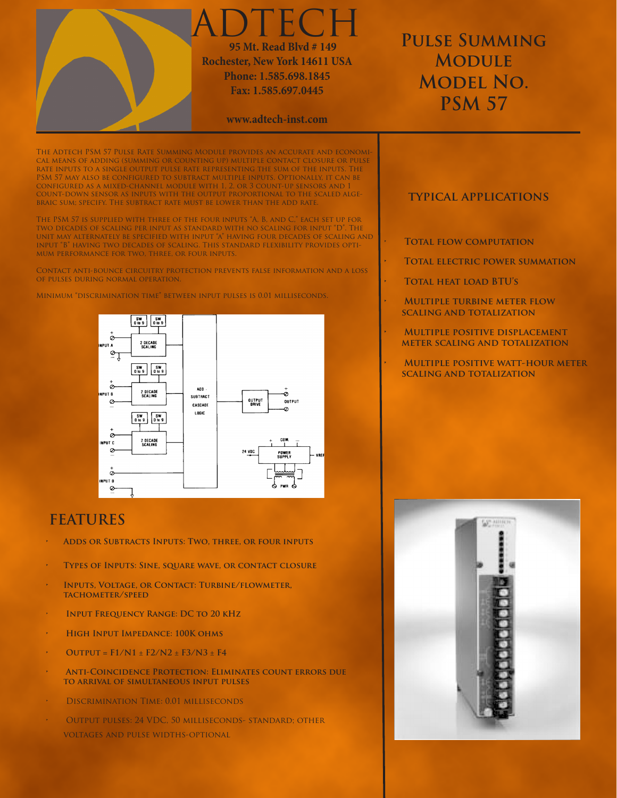

The Adtech PSM 57 Pulse Rate Summing Module provides an accurate and economical means of adding (summing or counting up) multiple contact closure or pulse rate inputs to a single output pulse rate representing the sum of the inputs. The PSM 57 may also be configured to subtract multiple inputs. Optionally, it can be configured as a mixed-channel module with 1, 2, or 3 count-up sensors and 1 count-down sensor as inputs with the output proportional to the scaled algebraic sum; specify. The subtract rate must be lower than the add rate.

The PSM 57 is supplied with three of the four inputs "A, B, and C," each set up for two decades of scaling per input as standard with no scaling for input "D". The unit may alternately be specified with input "a" having four decades of scaling and input "B" having two decades of scaling. This standard flexibility provides optimum performance for two, three, or four inputs.

Contact anti-bounce circuitry protection prevents false information and a loss of pulses during normal operation.

 $\begin{array}{c} \mathbf{SW} \\ \mathbf{O} \text{ to } \mathbf{9} \end{array} \quad \begin{array}{c} \mathbf{SW} \\ \mathbf{O} \text{ to } \mathbf{9} \end{array}$ è 2 DECADE<br>SCALING



# **FEATURES**

- **• Adds or Subtracts Inputs: Two, three, or four inputs**
- **• Types of Inputs: Sine, square wave, or contact closure**
- **INPUTS, VOLTAGE, OR CONTACT: TURBINE/FLOWMETER, tachometer/speed**
- **INPUT FREQUENCY RANGE: DC TO 20 KHZ**
- **HIGH INPUT IMPEDANCE: 100K OHMS**
- **• Output = F1/N1** ± **F2/N2** ± **F3/N3** ± **F4**
- **ANTI-COINCIDENCE PROTECTION: ELIMINATES COUNT ERRORS DUE to arrival of simultaneous input pulses**
- DISCRIMINATION TIME: 0.01 MILLISECONDS
- OUTPUT PULSES: 24 VDC, 50 MILLISECONDS- STANDARD; OTHER voltages and pulse widths-optional

### **typical applications**

- **TOTAL FLOW COMPUTATION**
- **TOTAL ELECTRIC POWER SUMMATION**
- **• Total heat load BTU's**
	- **• Multiple turbine meter flow scaling and totalization**
	- **MULTIPLE POSITIVE DISPLACEMENT meter scaling and totalization**
	- **• Multiple positive watt-hour meter scaling and totalization**



#### Minimum "discrimination time" between input pulses is 0.01 milliseconds.